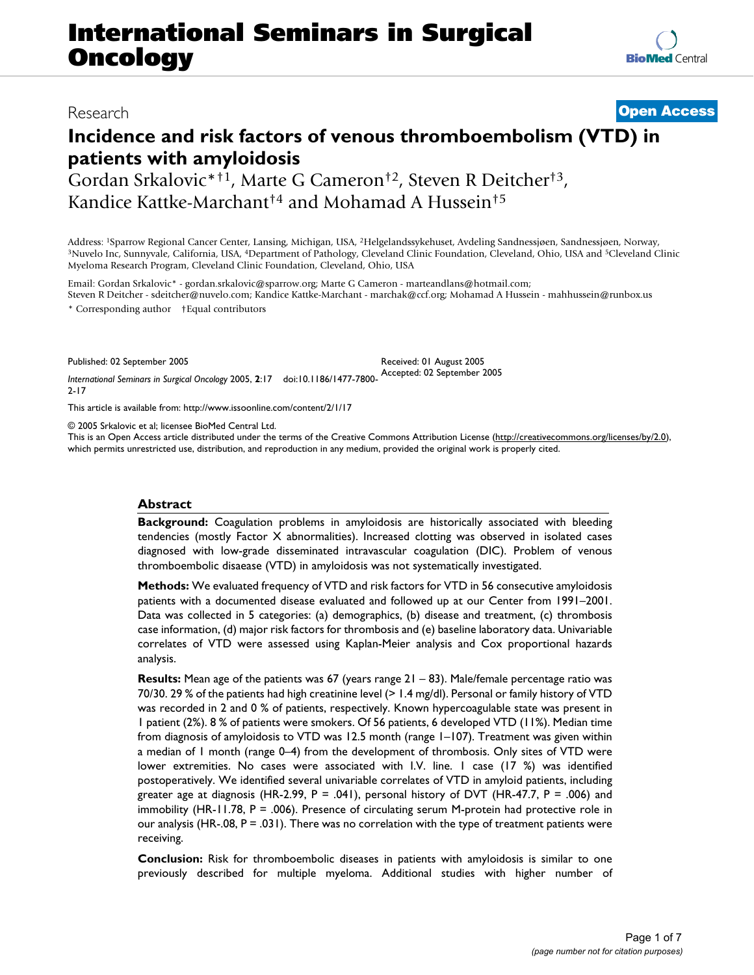# **International Seminars in Surgical Oncology**

## Research **[Open Access](http://www.biomedcentral.com/info/about/charter/)**

## **Incidence and risk factors of venous thromboembolism (VTD) in patients with amyloidosis**

Gordan Srkalovic\*†1, Marte G Cameron†2, Steven R Deitcher†3, Kandice Kattke-Marchant<sup>†4</sup> and Mohamad A Hussein<sup>†5</sup>

Address: <sup>1</sup>Sparrow Regional Cancer Center, Lansing, Michigan, USA, <sup>2</sup>Helgelandssykehuset, Avdeling Sandnessjøen, Sandnessjøen, Norway,<br><sup>3</sup>Nuvelo Inc, Sunnyvale, California, USA, <sup>4</sup>Department of Pathology, Cleveland Clin Myeloma Research Program, Cleveland Clinic Foundation, Cleveland, Ohio, USA

Email: Gordan Srkalovic\* - gordan.srkalovic@sparrow.org; Marte G Cameron - marteandlans@hotmail.com; Steven R Deitcher - sdeitcher@nuvelo.com; Kandice Kattke-Marchant - marchak@ccf.org; Mohamad A Hussein - mahhussein@runbox.us \* Corresponding author †Equal contributors

Published: 02 September 2005

*International Seminars in Surgical Oncology* 2005, **2**:17 doi:10.1186/1477-7800- Accepted: 02 September 2005 Received: 01 August 2005

2-17 [This article is available from: http://www.issoonline.com/content/2/1/17](http://www.issoonline.com/content/2/1/17)

© 2005 Srkalovic et al; licensee BioMed Central Ltd.

This is an Open Access article distributed under the terms of the Creative Commons Attribution License [\(http://creativecommons.org/licenses/by/2.0\)](http://creativecommons.org/licenses/by/2.0), which permits unrestricted use, distribution, and reproduction in any medium, provided the original work is properly cited.

## **Abstract**

**Background:** Coagulation problems in amyloidosis are historically associated with bleeding tendencies (mostly Factor X abnormalities). Increased clotting was observed in isolated cases diagnosed with low-grade disseminated intravascular coagulation (DIC). Problem of venous thromboembolic disaease (VTD) in amyloidosis was not systematically investigated.

**Methods:** We evaluated frequency of VTD and risk factors for VTD in 56 consecutive amyloidosis patients with a documented disease evaluated and followed up at our Center from 1991–2001. Data was collected in 5 categories: (a) demographics, (b) disease and treatment, (c) thrombosis case information, (d) major risk factors for thrombosis and (e) baseline laboratory data. Univariable correlates of VTD were assessed using Kaplan-Meier analysis and Cox proportional hazards analysis.

**Results:** Mean age of the patients was 67 (years range 21 – 83). Male/female percentage ratio was 70/30. 29 % of the patients had high creatinine level (> 1.4 mg/dl). Personal or family history of VTD was recorded in 2 and 0 % of patients, respectively. Known hypercoagulable state was present in 1 patient (2%). 8 % of patients were smokers. Of 56 patients, 6 developed VTD (11%). Median time from diagnosis of amyloidosis to VTD was 12.5 month (range 1–107). Treatment was given within a median of 1 month (range 0–4) from the development of thrombosis. Only sites of VTD were lower extremities. No cases were associated with I.V. line. 1 case (17 %) was identified postoperatively. We identified several univariable correlates of VTD in amyloid patients, including greater age at diagnosis (HR-2.99, P = .041), personal history of DVT (HR-47.7, P = .006) and immobility (HR-11.78, P = .006). Presence of circulating serum M-protein had protective role in our analysis (HR-.08,  $P = .031$ ). There was no correlation with the type of treatment patients were receiving.

**Conclusion:** Risk for thromboembolic diseases in patients with amyloidosis is similar to one previously described for multiple myeloma. Additional studies with higher number of

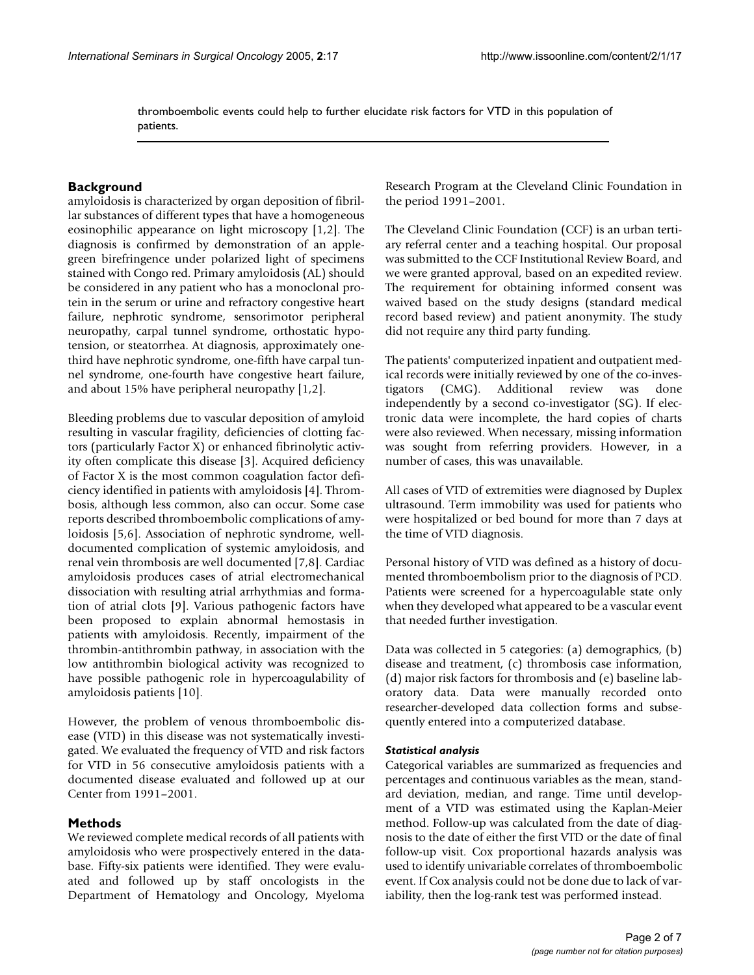thromboembolic events could help to further elucidate risk factors for VTD in this population of patients.

## **Background**

amyloidosis is characterized by organ deposition of fibrillar substances of different types that have a homogeneous eosinophilic appearance on light microscopy [1,2]. The diagnosis is confirmed by demonstration of an applegreen birefringence under polarized light of specimens stained with Congo red. Primary amyloidosis (AL) should be considered in any patient who has a monoclonal protein in the serum or urine and refractory congestive heart failure, nephrotic syndrome, sensorimotor peripheral neuropathy, carpal tunnel syndrome, orthostatic hypotension, or steatorrhea. At diagnosis, approximately onethird have nephrotic syndrome, one-fifth have carpal tunnel syndrome, one-fourth have congestive heart failure, and about 15% have peripheral neuropathy [1,2].

Bleeding problems due to vascular deposition of amyloid resulting in vascular fragility, deficiencies of clotting factors (particularly Factor X) or enhanced fibrinolytic activity often complicate this disease [3]. Acquired deficiency of Factor X is the most common coagulation factor deficiency identified in patients with amyloidosis [4]. Thrombosis, although less common, also can occur. Some case reports described thromboembolic complications of amyloidosis [5,6]. Association of nephrotic syndrome, welldocumented complication of systemic amyloidosis, and renal vein thrombosis are well documented [7,8]. Cardiac amyloidosis produces cases of atrial electromechanical dissociation with resulting atrial arrhythmias and formation of atrial clots [9]. Various pathogenic factors have been proposed to explain abnormal hemostasis in patients with amyloidosis. Recently, impairment of the thrombin-antithrombin pathway, in association with the low antithrombin biological activity was recognized to have possible pathogenic role in hypercoagulability of amyloidosis patients [10].

However, the problem of venous thromboembolic disease (VTD) in this disease was not systematically investigated. We evaluated the frequency of VTD and risk factors for VTD in 56 consecutive amyloidosis patients with a documented disease evaluated and followed up at our Center from 1991–2001.

#### **Methods**

We reviewed complete medical records of all patients with amyloidosis who were prospectively entered in the database. Fifty-six patients were identified. They were evaluated and followed up by staff oncologists in the Department of Hematology and Oncology, Myeloma Research Program at the Cleveland Clinic Foundation in the period 1991–2001.

The Cleveland Clinic Foundation (CCF) is an urban tertiary referral center and a teaching hospital. Our proposal was submitted to the CCF Institutional Review Board, and we were granted approval, based on an expedited review. The requirement for obtaining informed consent was waived based on the study designs (standard medical record based review) and patient anonymity. The study did not require any third party funding.

The patients' computerized inpatient and outpatient medical records were initially reviewed by one of the co-investigators (CMG). Additional review was done independently by a second co-investigator (SG). If electronic data were incomplete, the hard copies of charts were also reviewed. When necessary, missing information was sought from referring providers. However, in a number of cases, this was unavailable.

All cases of VTD of extremities were diagnosed by Duplex ultrasound. Term immobility was used for patients who were hospitalized or bed bound for more than 7 days at the time of VTD diagnosis.

Personal history of VTD was defined as a history of documented thromboembolism prior to the diagnosis of PCD. Patients were screened for a hypercoagulable state only when they developed what appeared to be a vascular event that needed further investigation.

Data was collected in 5 categories: (a) demographics, (b) disease and treatment, (c) thrombosis case information, (d) major risk factors for thrombosis and (e) baseline laboratory data. Data were manually recorded onto researcher-developed data collection forms and subsequently entered into a computerized database.

#### *Statistical analysis*

Categorical variables are summarized as frequencies and percentages and continuous variables as the mean, standard deviation, median, and range. Time until development of a VTD was estimated using the Kaplan-Meier method. Follow-up was calculated from the date of diagnosis to the date of either the first VTD or the date of final follow-up visit. Cox proportional hazards analysis was used to identify univariable correlates of thromboembolic event. If Cox analysis could not be done due to lack of variability, then the log-rank test was performed instead.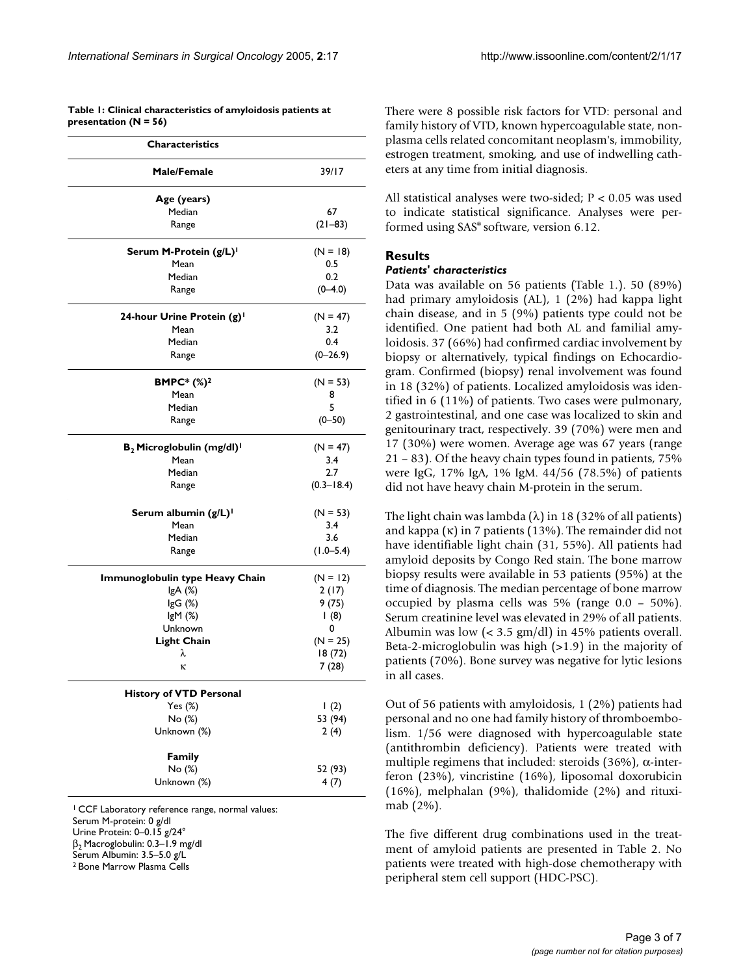| <b>Characteristics</b>                            |                   |
|---------------------------------------------------|-------------------|
| Male/Female                                       | 39/17             |
| Age (years)                                       |                   |
| Median                                            | 67                |
| Range                                             | $(21 - 83)$       |
| Serum M-Protein (g/L) <sup>1</sup>                | $(N = 18)$        |
| Mean                                              | 0.5               |
| Median                                            | 0.2               |
| Range                                             | $(0 - 4.0)$       |
| 24-hour Urine Protein (g) <sup>1</sup>            | $(N = 47)$        |
| Mean                                              | 3.2               |
| Median                                            | 0.4               |
| Range                                             | $(0-26.9)$        |
| <b>BMPC*</b> (%) <sup>2</sup>                     | $(N = 53)$        |
| Mean                                              | 8                 |
| Median                                            | 5                 |
| Range                                             | $(0 - 50)$        |
| B <sub>2</sub> Microglobulin (mg/dl) <sup>1</sup> | $(N = 47)$        |
| Mean                                              | 3.4               |
| Median                                            | 2.7               |
| Range                                             | $(0.3 - 18.4)$    |
| Serum albumin (g/L) <sup>1</sup>                  | $(N = 53)$        |
| Mean                                              | 3.4               |
| Median                                            | 3.6               |
|                                                   | $(1.0 - 5.4)$     |
| Range                                             |                   |
| Immunoglobulin type Heavy Chain                   | $(N = 12)$        |
| IgA (%)                                           | 2(17)             |
| $lgG$ (%)                                         | 9 (75)            |
| IgM (%)                                           | $\vert$ (8)       |
| Unknown                                           | 0                 |
| <b>Light Chain</b>                                | $(N = 25)$        |
| λ                                                 | 18(72)            |
| κ                                                 | 7(28)             |
| <b>History of VTD Personal</b>                    |                   |
| Yes $(\%)$                                        | $\left( 2\right)$ |
| No (%)                                            | 53 (94)           |
| Unknown (%)                                       | 2(4)              |
| Family                                            |                   |
| No (%)<br>Unknown (%)                             | 52 (93)           |
|                                                   | 4(7)              |

**Table 1: Clinical characteristics of amyloidosis patients at presentation (N = 56)**

<sup>1</sup> CCF Laboratory reference range, normal values:

Serum M-protein: 0 g/dl

Urine Protein: 0–0.15 g/24°

β2 Macroglobulin: 0.3–1.9 mg/dl

Serum Albumin: 3.5–5.0 g/L

2 Bone Marrow Plasma Cells

There were 8 possible risk factors for VTD: personal and family history of VTD, known hypercoagulable state, nonplasma cells related concomitant neoplasm's, immobility, estrogen treatment, smoking, and use of indwelling catheters at any time from initial diagnosis.

All statistical analyses were two-sided; P < 0.05 was used to indicate statistical significance. Analyses were performed using SAS® software, version 6.12.

#### **Results**

#### *Patients' characteristics*

Data was available on 56 patients (Table 1.). 50 (89%) had primary amyloidosis (AL), 1 (2%) had kappa light chain disease, and in 5 (9%) patients type could not be identified. One patient had both AL and familial amyloidosis. 37 (66%) had confirmed cardiac involvement by biopsy or alternatively, typical findings on Echocardiogram. Confirmed (biopsy) renal involvement was found in 18 (32%) of patients. Localized amyloidosis was identified in 6 (11%) of patients. Two cases were pulmonary, 2 gastrointestinal, and one case was localized to skin and genitourinary tract, respectively. 39 (70%) were men and 17 (30%) were women. Average age was 67 years (range 21 – 83). Of the heavy chain types found in patients, 75% were IgG, 17% IgA, 1% IgM. 44/56 (78.5%) of patients did not have heavy chain M-protein in the serum.

The light chain was lambda  $(\lambda)$  in 18 (32% of all patients) and kappa  $(\kappa)$  in 7 patients (13%). The remainder did not have identifiable light chain (31, 55%). All patients had amyloid deposits by Congo Red stain. The bone marrow biopsy results were available in 53 patients (95%) at the time of diagnosis. The median percentage of bone marrow occupied by plasma cells was 5% (range 0.0 – 50%). Serum creatinine level was elevated in 29% of all patients. Albumin was low (< 3.5 gm/dl) in 45% patients overall. Beta-2-microglobulin was high (>1.9) in the majority of patients (70%). Bone survey was negative for lytic lesions in all cases.

Out of 56 patients with amyloidosis, 1 (2%) patients had personal and no one had family history of thromboembolism. 1/56 were diagnosed with hypercoagulable state (antithrombin deficiency). Patients were treated with multiple regimens that included: steroids  $(36%)$ ,  $\alpha$ -interferon (23%), vincristine (16%), liposomal doxorubicin (16%), melphalan (9%), thalidomide (2%) and rituximab (2%).

The five different drug combinations used in the treatment of amyloid patients are presented in Table [2](#page-3-0). No patients were treated with high-dose chemotherapy with peripheral stem cell support (HDC-PSC).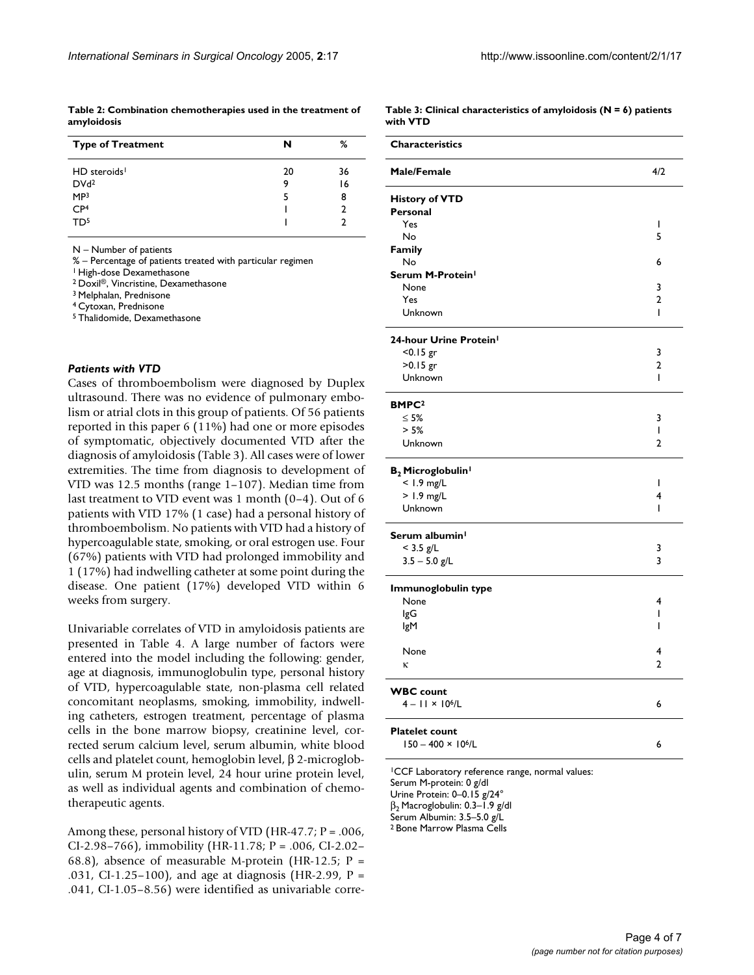**Table 3: Clinical characteristics of amyloidosis (N = 6) patients** 

**with VTD**

<span id="page-3-0"></span>**Table 2: Combination chemotherapies used in the treatment of amyloidosis**

| <b>Type of Treatment</b> | N  | %            |
|--------------------------|----|--------------|
| HD steroids <sup>1</sup> | 20 | 36           |
| DVd <sup>2</sup>         | 9  | 16           |
| MP <sup>3</sup>          |    | 8            |
| CP <sup>4</sup>          |    | $\mathbf{2}$ |
| TD <sup>5</sup>          |    | 2            |
|                          |    |              |

N – Number of patients

% – Percentage of patients treated with particular regimen

1 High-dose Dexamethasone

2 Doxil®, Vincristine, Dexamethasone

3 Melphalan, Prednisone

4 Cytoxan, Prednisone

5 Thalidomide, Dexamethasone

#### *Patients with VTD*

Cases of thromboembolism were diagnosed by Duplex ultrasound. There was no evidence of pulmonary embolism or atrial clots in this group of patients. Of 56 patients reported in this paper 6 (11%) had one or more episodes of symptomatic, objectively documented VTD after the diagnosis of amyloidosis (Table 3). All cases were of lower extremities. The time from diagnosis to development of VTD was 12.5 months (range 1–107). Median time from last treatment to VTD event was 1 month (0–4). Out of 6 patients with VTD 17% (1 case) had a personal history of thromboembolism. No patients with VTD had a history of hypercoagulable state, smoking, or oral estrogen use. Four (67%) patients with VTD had prolonged immobility and 1 (17%) had indwelling catheter at some point during the disease. One patient (17%) developed VTD within 6 weeks from surgery.

Univariable correlates of VTD in amyloidosis patients are presented in Table [4.](#page-4-0) A large number of factors were entered into the model including the following: gender, age at diagnosis, immunoglobulin type, personal history of VTD, hypercoagulable state, non-plasma cell related concomitant neoplasms, smoking, immobility, indwelling catheters, estrogen treatment, percentage of plasma cells in the bone marrow biopsy, creatinine level, corrected serum calcium level, serum albumin, white blood cells and platelet count, hemoglobin level, β 2-microglobulin, serum M protein level, 24 hour urine protein level, as well as individual agents and combination of chemotherapeutic agents.

Among these, personal history of VTD (HR-47.7;  $P = .006$ , CI-2.98–766), immobility (HR-11.78; P = .006, CI-2.02– 68.8), absence of measurable M-protein (HR-12.5;  $P =$ .031, CI-1.25–100), and age at diagnosis (HR-2.99,  $P =$ .041, CI-1.05–8.56) were identified as univariable corre-

| Characteristics                           |                |
|-------------------------------------------|----------------|
| <b>Male/Female</b>                        | 4/2            |
| <b>History of VTD</b>                     |                |
| Personal                                  |                |
| Yes                                       | T              |
| No                                        | 5              |
| Family                                    |                |
| No                                        | 6              |
| Serum M-Protein <sup>1</sup>              |                |
| None                                      | 3              |
| Yes                                       | $\overline{2}$ |
| Unknown                                   | I              |
| 24-hour Urine Protein!                    |                |
| <0.15 gr                                  | 3              |
| $>0.15$ gr                                | $\overline{2}$ |
| Unknown                                   | $\mathsf{I}$   |
| <b>BMPC2</b>                              |                |
| $\leq 5\%$                                | 3              |
| > 5%                                      | I              |
| Unknown                                   | $\overline{2}$ |
| B <sub>2</sub> Microglobulin <sup>1</sup> |                |
| $<$ 1.9 mg/L                              | I              |
| $>1.9$ mg/L                               | 4              |
| Unknown                                   | T              |
| Serum albumin <sup>i</sup>                |                |
| $< 3.5$ g/L                               | 3              |
| $3.5 - 5.0$ g/L                           | 3              |
| Immunoglobulin type                       |                |
| None                                      | 4              |
| lgG                                       | $\mathbf{I}$   |
| lgM                                       | I              |
| None                                      | 4              |
| ĸ                                         | $\overline{2}$ |
| <b>WBC</b> count                          |                |
| $4 - 11 \times 10^{6}/L$                  | 6              |

1CCF Laboratory reference range, normal values:

 $150 - 400 \times 10^{6}/L$  6

Serum M-protein: 0 g/dl

Urine Protein: 0–0.15 g/24°

**Platelet count**

β2 Macroglobulin: 0.3–1.9 g/dl

Serum Albumin: 3.5–5.0 g/L

2 Bone Marrow Plasma Cells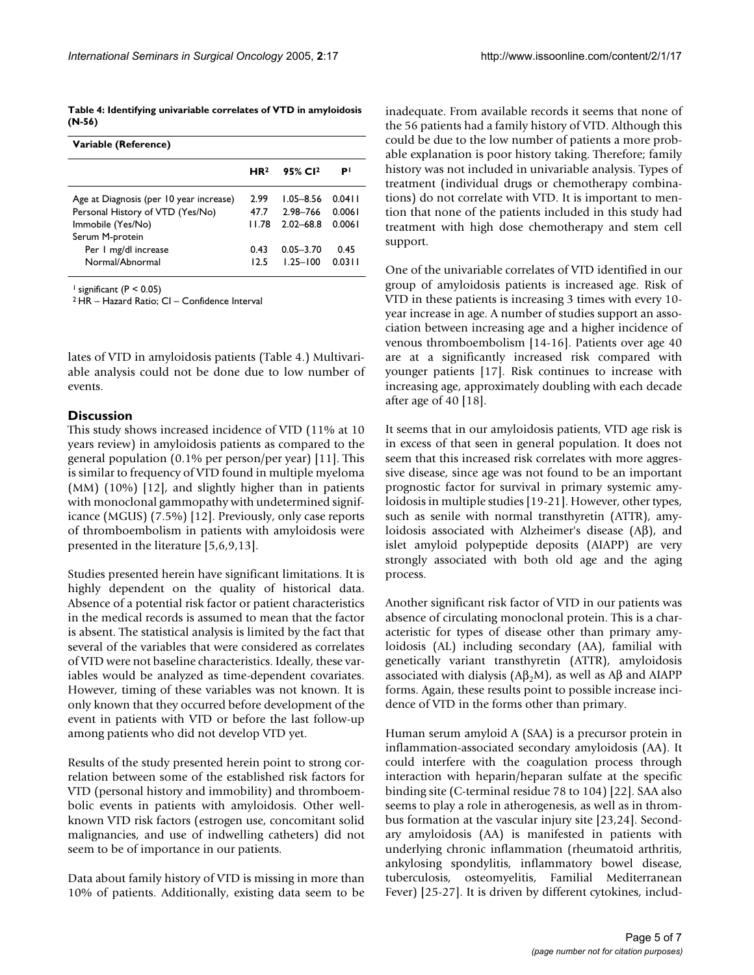<span id="page-4-0"></span>**Table 4: Identifying univariable correlates of VTD in amyloidosis (N-56)**

| Variable (Reference)                    |                 |                     |        |
|-----------------------------------------|-----------------|---------------------|--------|
|                                         | HR <sup>2</sup> | 95% CI <sup>2</sup> | P١     |
| Age at Diagnosis (per 10 year increase) | 2.99            | $1.05 - 8.56$       | 0.0411 |
| Personal History of VTD (Yes/No)        | 47.7            | 2.98-766            | 0.0061 |
| Immobile (Yes/No)                       | 11.78           | $2.02 - 68.8$       | 0.0061 |
| Serum M-protein                         |                 |                     |        |
| Per 1 mg/dl increase                    | 0.43            | $0.05 - 3.70$       | 0.45   |
| Normal/Abnormal                         | 12.5            | $1.25 - 100$        | 0.0311 |

 $\frac{1}{1}$  significant (P < 0.05)

2 HR – Hazard Ratio; CI – Confidence Interval

lates of VTD in amyloidosis patients (Table [4](#page-4-0).) Multivariable analysis could not be done due to low number of events.

#### **Discussion**

This study shows increased incidence of VTD (11% at 10 years review) in amyloidosis patients as compared to the general population (0.1% per person/per year) [11]. This is similar to frequency of VTD found in multiple myeloma (MM) (10%) [12], and slightly higher than in patients with monoclonal gammopathy with undetermined significance (MGUS) (7.5%) [12]. Previously, only case reports of thromboembolism in patients with amyloidosis were presented in the literature [5,6,9,13].

Studies presented herein have significant limitations. It is highly dependent on the quality of historical data. Absence of a potential risk factor or patient characteristics in the medical records is assumed to mean that the factor is absent. The statistical analysis is limited by the fact that several of the variables that were considered as correlates of VTD were not baseline characteristics. Ideally, these variables would be analyzed as time-dependent covariates. However, timing of these variables was not known. It is only known that they occurred before development of the event in patients with VTD or before the last follow-up among patients who did not develop VTD yet.

Results of the study presented herein point to strong correlation between some of the established risk factors for VTD (personal history and immobility) and thromboembolic events in patients with amyloidosis. Other wellknown VTD risk factors (estrogen use, concomitant solid malignancies, and use of indwelling catheters) did not seem to be of importance in our patients.

Data about family history of VTD is missing in more than 10% of patients. Additionally, existing data seem to be inadequate. From available records it seems that none of the 56 patients had a family history of VTD. Although this could be due to the low number of patients a more probable explanation is poor history taking. Therefore; family history was not included in univariable analysis. Types of treatment (individual drugs or chemotherapy combinations) do not correlate with VTD. It is important to mention that none of the patients included in this study had treatment with high dose chemotherapy and stem cell support.

One of the univariable correlates of VTD identified in our group of amyloidosis patients is increased age. Risk of VTD in these patients is increasing 3 times with every 10 year increase in age. A number of studies support an association between increasing age and a higher incidence of venous thromboembolism [14-16]. Patients over age 40 are at a significantly increased risk compared with younger patients [17]. Risk continues to increase with increasing age, approximately doubling with each decade after age of 40 [18].

It seems that in our amyloidosis patients, VTD age risk is in excess of that seen in general population. It does not seem that this increased risk correlates with more aggressive disease, since age was not found to be an important prognostic factor for survival in primary systemic amyloidosis in multiple studies [19-21]. However, other types, such as senile with normal transthyretin (ATTR), amyloidosis associated with Alzheimer's disease (Aβ), and islet amyloid polypeptide deposits (AIAPP) are very strongly associated with both old age and the aging process.

Another significant risk factor of VTD in our patients was absence of circulating monoclonal protein. This is a characteristic for types of disease other than primary amyloidosis (AL) including secondary (AA), familial with genetically variant transthyretin (ATTR), amyloidosis associated with dialysis  $(Aβ<sub>2</sub>M)$ , as well as Aβ and AIAPP forms. Again, these results point to possible increase incidence of VTD in the forms other than primary.

Human serum amyloid A (SAA) is a precursor protein in inflammation-associated secondary amyloidosis (AA). It could interfere with the coagulation process through interaction with heparin/heparan sulfate at the specific binding site (C-terminal residue 78 to 104) [22]. SAA also seems to play a role in atherogenesis, as well as in thrombus formation at the vascular injury site [23,24]. Secondary amyloidosis (AA) is manifested in patients with underlying chronic inflammation (rheumatoid arthritis, ankylosing spondylitis, inflammatory bowel disease, tuberculosis, osteomyelitis, Familial Mediterranean Fever) [25-27]. It is driven by different cytokines, includ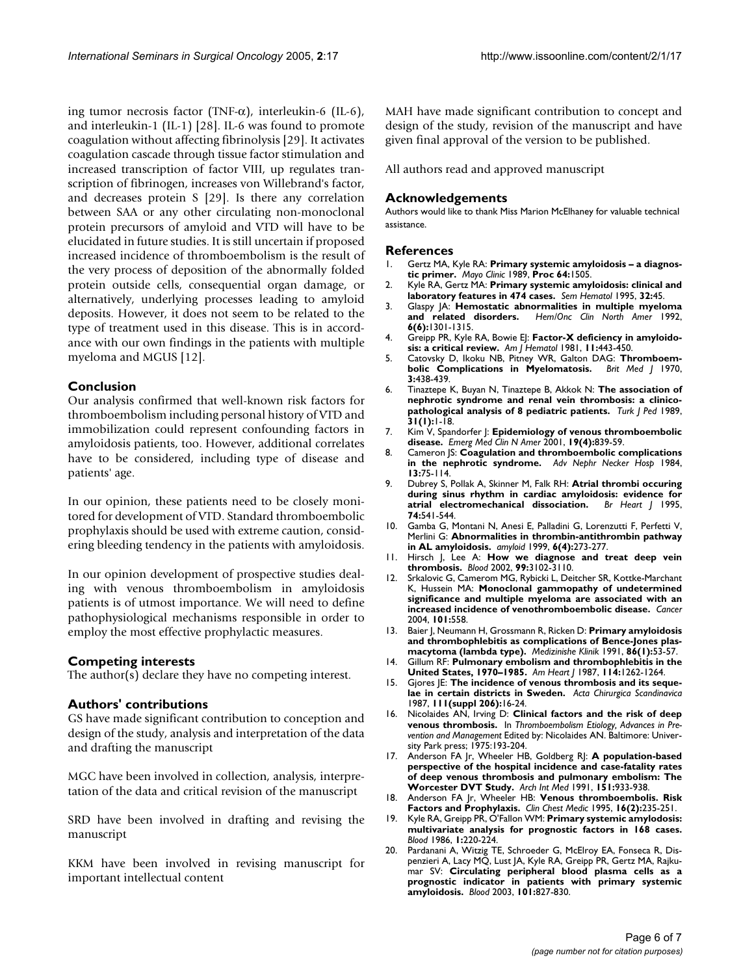ing tumor necrosis factor (TNF- $\alpha$ ), interleukin-6 (IL-6), and interleukin-1 (IL-1) [28]. IL-6 was found to promote coagulation without affecting fibrinolysis [29]. It activates coagulation cascade through tissue factor stimulation and increased transcription of factor VIII, up regulates transcription of fibrinogen, increases von Willebrand's factor, and decreases protein S [29]. Is there any correlation between SAA or any other circulating non-monoclonal protein precursors of amyloid and VTD will have to be elucidated in future studies. It is still uncertain if proposed increased incidence of thromboembolism is the result of the very process of deposition of the abnormally folded protein outside cells, consequential organ damage, or alternatively, underlying processes leading to amyloid deposits. However, it does not seem to be related to the type of treatment used in this disease. This is in accordance with our own findings in the patients with multiple myeloma and MGUS [12].

## **Conclusion**

Our analysis confirmed that well-known risk factors for thromboembolism including personal history of VTD and immobilization could represent confounding factors in amyloidosis patients, too. However, additional correlates have to be considered, including type of disease and patients' age.

In our opinion, these patients need to be closely monitored for development of VTD. Standard thromboembolic prophylaxis should be used with extreme caution, considering bleeding tendency in the patients with amyloidosis.

In our opinion development of prospective studies dealing with venous thromboembolism in amyloidosis patients is of utmost importance. We will need to define pathophysiological mechanisms responsible in order to employ the most effective prophylactic measures.

#### **Competing interests**

The author(s) declare they have no competing interest.

#### **Authors' contributions**

GS have made significant contribution to conception and design of the study, analysis and interpretation of the data and drafting the manuscript

MGC have been involved in collection, analysis, interpretation of the data and critical revision of the manuscript

SRD have been involved in drafting and revising the manuscript

KKM have been involved in revising manuscript for important intellectual content

MAH have made significant contribution to concept and design of the study, revision of the manuscript and have given final approval of the version to be published.

All authors read and approved manuscript

#### **Acknowledgements**

Authors would like to thank Miss Marion McElhaney for valuable technical assistance.

#### **References**

- 1. Gertz MA, Kyle RA: **Primary systemic amyloidosis a diagnostic primer.** *Mayo Clinic* 1989, **Proc 64:**1505.
- 2. Kyle RA, Gertz MA: **Primary systemic amyloidosis: clinical and laboratory features in 474 cases.** *Sem Hematol* 1995, **32:**45.
- 3. Glaspy JA: **Hemostatic abnormalities in multiple myeloma and related disorders.** *Hem/Onc Clin North Amer* 1992, **6(6):**1301-1315.
- 4. Greipp PR, Kyle RA, Bowie EJ: **[Factor-X deficiency in amyloido](http://www.ncbi.nlm.nih.gov/entrez/query.fcgi?cmd=Retrieve&db=PubMed&dopt=Abstract&list_uids=7036713)[sis: a critical review.](http://www.ncbi.nlm.nih.gov/entrez/query.fcgi?cmd=Retrieve&db=PubMed&dopt=Abstract&list_uids=7036713)** *Am J Hematol* 1981, **11:**443-450.
- 5. Catovsky D, Ikoku NB, Pitney WR, Galton DAG: **[Thromboem](http://www.ncbi.nlm.nih.gov/entrez/query.fcgi?cmd=Retrieve&db=PubMed&dopt=Abstract&list_uids=5454323)[bolic Complications in Myelomatosis.](http://www.ncbi.nlm.nih.gov/entrez/query.fcgi?cmd=Retrieve&db=PubMed&dopt=Abstract&list_uids=5454323)** *Brit Med J* 1970, **3:**438-439.
- 6. Tinaztepe K, Buyan N, Tinaztepe B, Akkok N: **The association of nephrotic syndrome and renal vein thrombosis: a clinicopathological analysis of 8 pediatric patients.** *Turk J Ped* 1989, **31(1):**1-18.
- 7. Kim V, Spandorfer J: **Epidemiology of venous thromboembolic disease.** *Emerg Med Clin N Amer* 2001, **19(4):**839-59.
- 8. Cameron JS: **Coagulation and thromboembolic complications in the nephrotic syndrome.** *Adv Nephr Necker Hosp* 1984, **13:**75-114.
- 9. Dubrey S, Pollak A, Skinner M, Falk RH: **[Atrial thrombi occuring](http://www.ncbi.nlm.nih.gov/entrez/query.fcgi?cmd=Retrieve&db=PubMed&dopt=Abstract&list_uids=8562243) [during sinus rhythm in cardiac amyloidosis: evidence for](http://www.ncbi.nlm.nih.gov/entrez/query.fcgi?cmd=Retrieve&db=PubMed&dopt=Abstract&list_uids=8562243) [atrial electromechanical dissociation.](http://www.ncbi.nlm.nih.gov/entrez/query.fcgi?cmd=Retrieve&db=PubMed&dopt=Abstract&list_uids=8562243)** *Br Heart J* 1995, **74:**541-544.
- 10. Gamba G, Montani N, Anesi E, Palladini G, Lorenzutti F, Perfetti V, Merlini G: **[Abnormalities in thrombin-antithrombin pathway](http://www.ncbi.nlm.nih.gov/entrez/query.fcgi?cmd=Retrieve&db=PubMed&dopt=Abstract&list_uids=10611948) [in AL amyloidosis.](http://www.ncbi.nlm.nih.gov/entrez/query.fcgi?cmd=Retrieve&db=PubMed&dopt=Abstract&list_uids=10611948)** *amyloid* 1999, **6(4):**273-277.
- 11. Hirsch J, Lee A: **[How we diagnose and treat deep vein](http://www.ncbi.nlm.nih.gov/entrez/query.fcgi?cmd=Retrieve&db=PubMed&dopt=Abstract&list_uids=11964271) [thrombosis.](http://www.ncbi.nlm.nih.gov/entrez/query.fcgi?cmd=Retrieve&db=PubMed&dopt=Abstract&list_uids=11964271)** *Blood* 2002, **99:**3102-3110.
- 12. Srkalovic G, Camerom MG, Rybicki L, Deitcher SR, Kottke-Marchant K, Hussein MA: **[Monoclonal gammopathy of undetermined](http://www.ncbi.nlm.nih.gov/entrez/query.fcgi?cmd=Retrieve&db=PubMed&dopt=Abstract&list_uids=15274069) [significance and multiple myeloma are associated with an](http://www.ncbi.nlm.nih.gov/entrez/query.fcgi?cmd=Retrieve&db=PubMed&dopt=Abstract&list_uids=15274069) [increased incidence of venothromboembolic disease.](http://www.ncbi.nlm.nih.gov/entrez/query.fcgi?cmd=Retrieve&db=PubMed&dopt=Abstract&list_uids=15274069)** *Cancer* 2004, **101:**558.
- 13. Baier J, Neumann H, Grossmann R, Ricken D: **Primary amyloidosis and thrombophlebitis as complications of Bence-Jones plasmacytoma (lambda type).** *Medizinishe Klinik* 1991, **86(1):**53-57.
- 14. Gillum RF: **[Pulmonary embolism and thrombophlebitis in the](http://www.ncbi.nlm.nih.gov/entrez/query.fcgi?cmd=Retrieve&db=PubMed&dopt=Abstract&list_uids=3673898) [United States, 1970–1985.](http://www.ncbi.nlm.nih.gov/entrez/query.fcgi?cmd=Retrieve&db=PubMed&dopt=Abstract&list_uids=3673898)** *Am Heart J* 1987, **114:**1262-1264.
- 15. Gjores **E**: The incidence of venous thrombosis and its seque**lae in certain districts in Sweden.** *Acta Chirurgica Scandinavica* 1987, **111(suppl 206):**16-24.
- 16. Nicolaides AN, Irving D: **Clinical factors and the risk of deep venous thrombosis.** In *Thromboembolism Etiology, Advances in Prevention and Management* Edited by: Nicolaides AN. Baltimore: University Park press; 1975:193-204.
- 17. Anderson FA Jr, Wheeler HB, Goldberg RJ: **A population-based perspective of the hospital incidence and case-fatality rates of deep venous thrombosis and pulmonary embolism: The Worcester DVT Study.** *Arch Int Med* 1991, **151:**933-938.
- 18. Anderson FA Jr, Wheeler HB: **Venous thromboembolis. Risk Factors and Prophylaxis.** *Clin Chest Medic* 1995, **16(2):**235-251.
- 19. Kyle RA, Greipp PR, O'Fallon WM: **Primary systemic amylodosis: multivariate analysis for prognostic factors in 168 cases.** *Blood* 1986, **1:**220-224.
- 20. Pardanani A, Witzig TE, Schroeder G, McElroy EA, Fonseca R, Dispenzieri A, Lacy MQ, Lust JA, Kyle RA, Greipp PR, Gertz MA, Rajkumar SV: **[Circulating peripheral blood plasma cells as a](http://www.ncbi.nlm.nih.gov/entrez/query.fcgi?cmd=Retrieve&db=PubMed&dopt=Abstract&list_uids=12393530) [prognostic indicator in patients with primary systemic](http://www.ncbi.nlm.nih.gov/entrez/query.fcgi?cmd=Retrieve&db=PubMed&dopt=Abstract&list_uids=12393530) [amyloidosis.](http://www.ncbi.nlm.nih.gov/entrez/query.fcgi?cmd=Retrieve&db=PubMed&dopt=Abstract&list_uids=12393530)** *Blood* 2003, **101:**827-830.